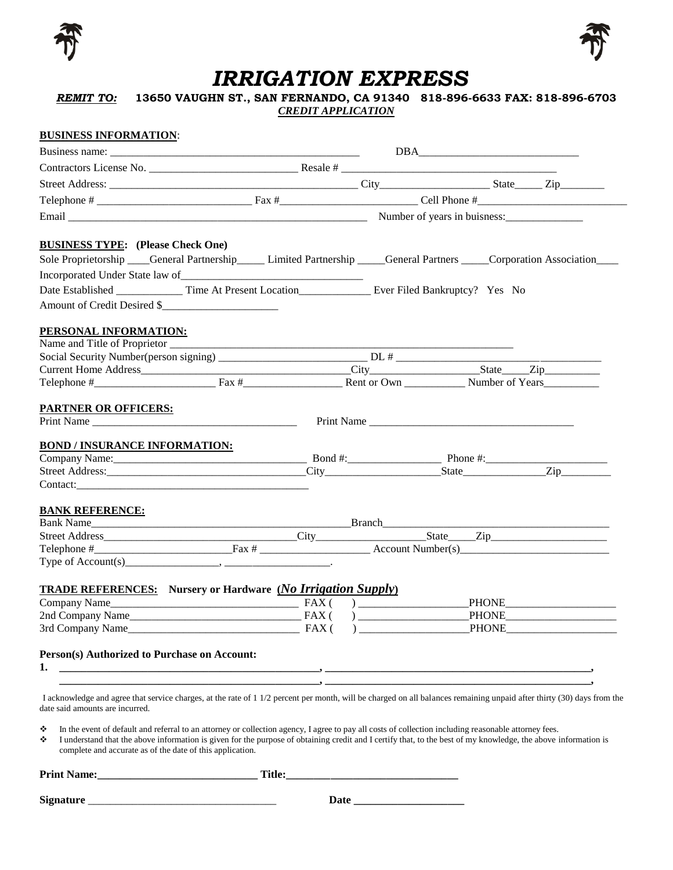



## *IRRIGATION EXPRESS*

*REMIT TO:* **13650 VAUGHN ST., SAN FERNANDO, CA 91340 818-896-6633 FAX: 818-896-6703** *CREDIT APPLICATION* 

## **BUSINESS INFORMATION**: Business name: \_\_\_\_\_\_\_\_\_\_\_\_\_\_\_\_\_\_\_\_\_\_\_\_\_\_\_\_\_\_\_\_\_\_\_\_\_\_\_\_\_\_\_\_\_ DBA\_\_\_\_\_\_\_\_\_\_\_\_\_\_\_\_\_\_\_\_\_\_\_\_\_\_\_\_\_ Contractors License No.  $\Box$  Resale #  $\Box$ Street Address: \_\_\_\_\_\_\_\_\_\_\_\_\_\_\_\_\_\_\_\_\_\_\_\_\_\_\_\_\_\_\_\_\_\_\_\_\_\_\_\_\_\_\_\_\_ City\_\_\_\_\_\_\_\_\_\_\_\_\_\_\_\_\_\_\_\_ State\_\_\_\_\_ Zip\_\_\_\_\_\_\_\_ Telephone # \_\_\_\_\_\_\_\_\_\_\_\_\_\_\_\_\_\_\_\_\_\_\_\_\_\_\_\_ Fax #\_\_\_\_\_\_\_\_\_\_\_\_\_\_\_\_\_\_\_\_\_\_\_\_\_ Cell Phone #\_\_\_\_\_\_\_\_\_\_\_\_\_\_\_\_\_\_\_\_\_\_\_\_\_\_\_ Email \_\_\_\_\_\_\_\_\_\_\_\_\_\_\_\_\_\_\_\_\_\_\_\_\_\_\_\_\_\_\_\_\_\_\_\_\_\_\_\_\_\_\_\_\_\_\_\_\_\_\_\_\_\_ Number of years in buisness:\_\_\_\_\_\_\_\_\_\_\_\_\_\_ **BUSINESS TYPE: (Please Check One)** Sole Proprietorship \_\_\_\_General Partnership \_\_\_\_\_ Limited Partnership \_\_\_\_General Partners \_\_\_\_Corporation Association\_\_\_\_ Incorporated Under State law of Date Established \_\_\_\_\_\_\_\_\_\_\_\_\_\_ Time At Present Location \_\_\_\_\_\_\_\_\_\_\_\_\_\_\_\_ Ever Filed Bankruptcy? Yes No Amount of Credit Desired \$ **PERSONAL INFORMATION:** Name and Title of Proprietor \_\_\_\_\_\_\_\_\_\_\_\_\_\_\_\_\_\_\_\_\_\_\_\_\_\_\_\_\_\_\_\_\_\_\_\_\_\_\_\_\_\_\_\_\_\_\_\_\_\_\_\_\_\_\_\_\_\_\_\_\_\_ Social Security Number(person signing) \_\_\_\_\_\_\_\_\_\_\_\_\_\_\_\_\_\_\_\_\_\_\_\_\_\_\_ DL # \_\_\_\_\_\_\_\_\_\_\_\_\_\_\_\_\_\_\_\_\_\_\_\_\_\_\_\_\_\_\_\_\_\_\_\_\_ Current Home Address\_\_\_\_\_\_\_\_\_\_\_\_\_\_\_\_\_\_\_\_\_\_\_\_\_\_\_\_\_\_\_\_\_\_\_\_\_\_City\_\_\_\_\_\_\_\_\_\_\_\_\_\_\_\_\_\_\_\_State\_\_\_\_\_Zip\_\_\_\_\_\_\_\_\_\_ Telephone #\_\_\_\_\_\_\_\_\_\_\_\_\_\_\_\_\_\_\_\_\_\_ Fax #\_\_\_\_\_\_\_\_\_\_\_\_\_\_\_\_\_\_ Rent or Own \_\_\_\_\_\_\_\_\_\_\_ Number of Years\_\_\_\_\_\_\_\_\_\_ **PARTNER OR OFFICERS:** Print Name \_\_\_\_\_\_\_\_\_\_\_\_\_\_\_\_\_\_\_\_\_\_\_\_\_\_\_\_\_\_\_\_\_\_\_\_\_ Print Name \_\_\_\_\_\_\_\_\_\_\_\_\_\_\_\_\_\_\_\_\_\_\_\_\_\_\_\_\_\_\_\_\_\_\_\_\_ **BOND / INSURANCE INFORMATION:** Company Name:\_\_\_\_\_\_\_\_\_\_\_\_\_\_\_\_\_\_\_\_\_\_\_\_\_\_\_\_\_\_\_\_\_\_\_ Bond #:\_\_\_\_\_\_\_\_\_\_\_\_\_\_\_\_\_ Phone #:\_\_\_\_\_\_\_\_\_\_\_\_\_\_\_\_\_\_\_\_\_\_ Street Address:\_\_\_\_\_\_\_\_\_\_\_\_\_\_\_\_\_\_\_\_\_\_\_\_\_\_\_\_\_\_\_\_\_\_\_\_City\_\_\_\_\_\_\_\_\_\_\_\_\_\_\_\_\_\_\_\_\_State\_\_\_\_\_\_\_\_\_\_\_\_\_\_\_Zip\_\_\_\_\_\_\_\_\_ Contact: **BANK REFERENCE:** Bank Name\_\_\_\_\_\_\_\_\_\_\_\_\_\_\_\_\_\_\_\_\_\_\_\_\_\_\_\_\_\_\_\_\_\_\_\_\_\_\_\_\_\_\_\_\_\_\_Branch\_\_\_\_\_\_\_\_\_\_\_\_\_\_\_\_\_\_\_\_\_\_\_\_\_\_\_\_\_\_\_\_\_\_\_\_\_\_\_\_\_ Street Address\_\_\_\_\_\_\_\_\_\_\_\_\_\_\_\_\_\_\_\_\_\_\_\_\_\_\_\_\_\_\_\_\_\_\_City\_\_\_\_\_\_\_\_\_\_\_\_\_\_\_\_\_\_\_\_State\_\_\_\_\_Zip\_\_\_\_\_\_\_\_\_\_\_\_\_\_\_\_\_\_\_\_\_ Telephone #\_\_\_\_\_\_\_\_\_\_\_\_\_\_\_\_\_\_\_\_\_\_\_\_\_Fax # \_\_\_\_\_\_\_\_\_\_\_\_\_\_\_\_\_\_\_\_ Account Number(s)\_\_\_\_\_\_\_\_\_\_\_\_\_\_\_\_\_\_\_\_\_\_\_\_\_\_\_ Type of Account(s)\_\_\_\_\_\_\_\_\_\_\_\_\_\_\_\_\_, \_\_\_\_\_\_\_\_\_\_\_\_\_\_\_\_\_\_\_. **TRADE REFERENCES:** Nursery or Hardware  $(No Irrigation \, Supply)$ <br>
Company Name  $\qquad \qquad$  FAX ()  $\qquad \qquad$  PHONE Company Name\_\_\_\_\_\_\_\_\_\_\_\_\_\_\_\_\_\_\_\_\_\_\_\_\_\_\_\_\_\_\_\_\_\_ FAX ( ) \_\_\_\_\_\_\_\_\_\_\_\_\_\_\_\_\_\_\_\_PHONE\_\_\_\_\_\_\_\_\_\_\_\_\_\_\_\_\_\_\_\_ 2nd Company Name<br>
3rd Company Name<br>  $P A X ( )$ <br>  $P A X ( )$ <br>  $P A X ( )$ <br>  $P A X ( )$  $3rd$  Company Name $\qquad \qquad \qquad$  FAX ( ) **Person(s) Authorized to Purchase on Account: 1. \_\_\_\_\_\_\_\_\_\_\_\_\_\_\_\_\_\_\_\_\_\_\_\_\_\_\_\_\_\_\_\_\_\_\_\_\_\_\_\_\_\_\_\_\_\_\_, \_\_\_\_\_\_\_\_\_\_\_\_\_\_\_\_\_\_\_\_\_\_\_\_\_\_\_\_\_\_\_\_\_\_\_\_\_\_\_\_\_\_\_\_\_\_\_\_,**  $\mathcal{L} = \mathcal{L} \mathcal{L}$ I acknowledge and agree that service charges, at the rate of 1 1/2 percent per month, will be charged on all balances remaining unpaid after thirty (30) days from the date said amounts are incurred.  $\bullet$  In the event of default and referral to an attorney or collection agency, I agree to pay all costs of collection including reasonable attorney fees.  $\bullet$  I understand that the above information is given for the purpose of obtaining credit and I certify that, to the best of my knowledge, the above information is

complete and accurate as of the date of this application.

| Print<br>$\sim$ $\sim$ $\sim$ $\sim$ $\sim$ $\sim$ $\sim$ | . |
|-----------------------------------------------------------|---|
|                                                           |   |

**Signature** \_\_\_\_\_\_\_\_\_\_\_\_\_\_\_\_\_\_\_\_\_\_\_\_\_\_\_\_\_\_\_\_\_\_ **Date \_\_\_\_\_\_\_\_\_\_\_\_\_\_\_\_\_\_\_\_**